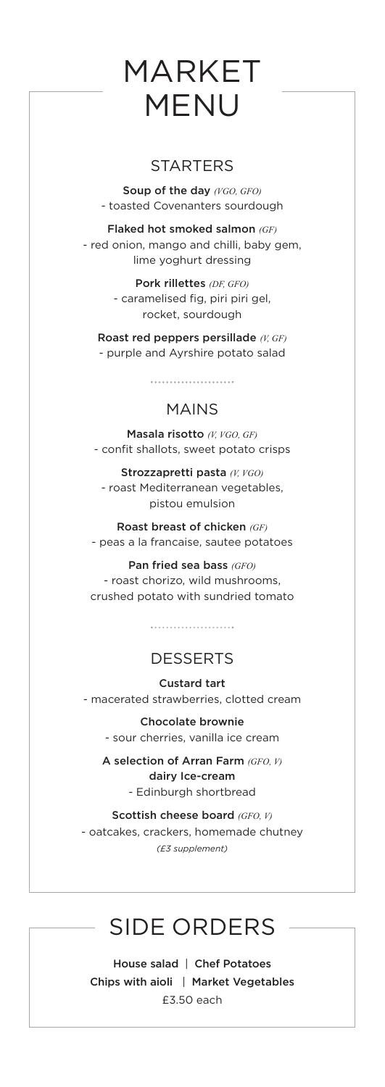## MARKET MENU

## **STARTERS**

Soup of the day *(VGO, GFO)* - toasted Covenanters sourdough

Flaked hot smoked salmon *(GF)* - red onion, mango and chilli, baby gem, lime yoghurt dressing

> Pork rillettes *(DF, GFO)* - caramelised fig, piri piri gel, rocket, sourdough

Roast red peppers persillade *(V, GF)* - purple and Ayrshire potato salad

## MAINS

Masala risotto *(V, VGO, GF)* - confit shallots, sweet potato crisps

Strozzapretti pasta *(V, VGO)* - roast Mediterranean vegetables, pistou emulsion

Roast breast of chicken *(GF)* - peas a la francaise, sautee potatoes

Pan fried sea bass *(GFO)* - roast chorizo, wild mushrooms, crushed potato with sundried tomato

## **DESSERTS**

Custard tart - macerated strawberries, clotted cream

Chocolate brownie - sour cherries, vanilla ice cream

A selection of Arran Farm *(GFO, V)* dairy Ice-cream - Edinburgh shortbread

Scottish cheese board *(GFO, V)* - oatcakes, crackers, homemade chutney *(£3 supplement)* 

## SIDE ORDERS

House salad | Chef Potatoes Chips with aioli | Market Vegetables £3.50 each